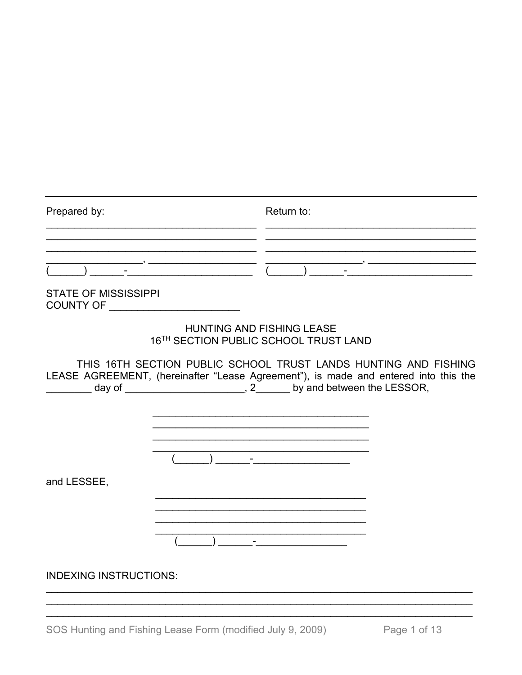| Prepared by:                                                       |  | Return to:                                                                                                                                                                                                                                                                                                                  |  |
|--------------------------------------------------------------------|--|-----------------------------------------------------------------------------------------------------------------------------------------------------------------------------------------------------------------------------------------------------------------------------------------------------------------------------|--|
|                                                                    |  | $\frac{1}{\frac{1}{2}}$ $\frac{1}{2}$ $\frac{1}{2}$ $\frac{1}{2}$ $\frac{1}{2}$ $\frac{1}{2}$ $\frac{1}{2}$ $\frac{1}{2}$ $\frac{1}{2}$ $\frac{1}{2}$ $\frac{1}{2}$ $\frac{1}{2}$ $\frac{1}{2}$ $\frac{1}{2}$ $\frac{1}{2}$ $\frac{1}{2}$ $\frac{1}{2}$ $\frac{1}{2}$ $\frac{1}{2}$ $\frac{1}{2}$ $\frac{1}{2}$ $\frac{1}{$ |  |
| <b>STATE OF MISSISSIPPI</b><br>COUNTY OF _________________________ |  |                                                                                                                                                                                                                                                                                                                             |  |
|                                                                    |  | <b>HUNTING AND FISHING LEASE</b><br>16TH SECTION PUBLIC SCHOOL TRUST LAND                                                                                                                                                                                                                                                   |  |
|                                                                    |  | THIS 16TH SECTION PUBLIC SCHOOL TRUST LANDS HUNTING AND FISHING<br>LEASE AGREEMENT, (hereinafter "Lease Agreement"), is made and entered into this the                                                                                                                                                                      |  |
|                                                                    |  |                                                                                                                                                                                                                                                                                                                             |  |
| and LESSEE,                                                        |  |                                                                                                                                                                                                                                                                                                                             |  |
|                                                                    |  |                                                                                                                                                                                                                                                                                                                             |  |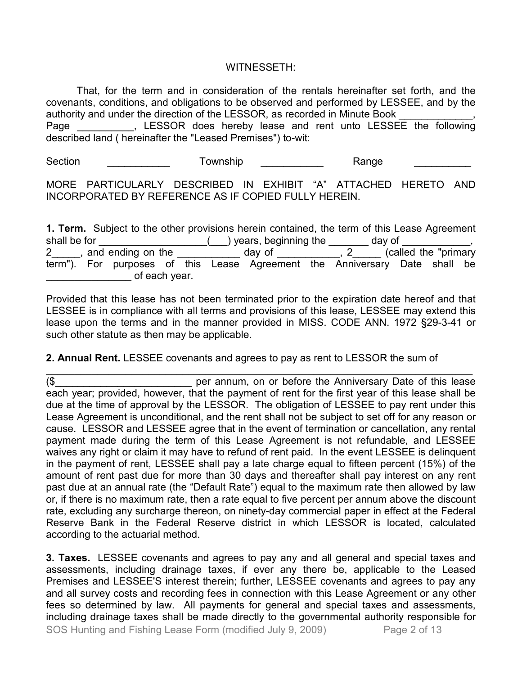### WITNESSETH:

That, for the term and in consideration of the rentals hereinafter set forth, and the covenants, conditions, and obligations to be observed and performed by LESSEE, and by the authority and under the direction of the LESSOR, as recorded in Minute Book Page \_\_\_\_\_\_\_\_\_, LESSOR does hereby lease and rent unto LESSEE the following described land ( hereinafter the "Leased Premises") to-wit:

Section \_\_\_\_\_\_\_\_\_\_\_\_\_ Township \_\_\_\_\_\_\_\_\_\_\_ Range \_\_\_\_\_\_\_\_\_\_\_

MORE PARTICULARLY DESCRIBED IN EXHIBIT "A" ATTACHED HERETO AND INCORPORATED BY REFERENCE AS IF COPIED FULLY HEREIN.

**1. Term.** Subject to the other provisions herein contained, the term of this Lease Agreement shall be for  $\underline{\hspace{1cm}}$   $\underline{\hspace{1cm}}$   $\underline{\hspace{1cm}}$  years, beginning the  $\underline{\hspace{1cm}}$  day of  $\underline{\hspace{1cm}}$  day of  $\underline{\hspace{1cm}}$  $\overline{a}$  day of  $\overline{a}$ , 2  $\overline{a}$  (called the "primary" term"). For purposes of this Lease Agreement the Anniversary Date shall be  $\circ$  of each year.

Provided that this lease has not been terminated prior to the expiration date hereof and that LESSEE is in compliance with all terms and provisions of this lease, LESSEE may extend this lease upon the terms and in the manner provided in MISS. CODE ANN. 1972 §29-3-41 or such other statute as then may be applicable.

**2. Annual Rent.** LESSEE covenants and agrees to pay as rent to LESSOR the sum of

\_\_\_\_\_\_\_\_\_\_\_\_\_\_\_\_\_\_\_\_\_\_\_\_\_\_\_\_\_\_\_\_\_\_\_\_\_\_\_\_\_\_\_\_\_\_\_\_\_\_\_\_\_\_\_\_\_\_\_\_\_\_\_\_\_\_\_\_\_\_\_\_\_\_\_ (\$ external per annum, on or before the Anniversary Date of this lease each year; provided, however, that the payment of rent for the first year of this lease shall be due at the time of approval by the LESSOR. The obligation of LESSEE to pay rent under this Lease Agreement is unconditional, and the rent shall not be subject to set off for any reason or cause. LESSOR and LESSEE agree that in the event of termination or cancellation, any rental payment made during the term of this Lease Agreement is not refundable, and LESSEE waives any right or claim it may have to refund of rent paid. In the event LESSEE is delinquent in the payment of rent, LESSEE shall pay a late charge equal to fifteen percent (15%) of the amount of rent past due for more than 30 days and thereafter shall pay interest on any rent past due at an annual rate (the "Default Rate") equal to the maximum rate then allowed by law or, if there is no maximum rate, then a rate equal to five percent per annum above the discount rate, excluding any surcharge thereon, on ninety-day commercial paper in effect at the Federal Reserve Bank in the Federal Reserve district in which LESSOR is located, calculated according to the actuarial method.

SOS Hunting and Fishing Lease Form (modified July 9, 2009) Page 2 of 13 **3. Taxes.** LESSEE covenants and agrees to pay any and all general and special taxes and assessments, including drainage taxes, if ever any there be, applicable to the Leased Premises and LESSEE'S interest therein; further, LESSEE covenants and agrees to pay any and all survey costs and recording fees in connection with this Lease Agreement or any other fees so determined by law. All payments for general and special taxes and assessments, including drainage taxes shall be made directly to the governmental authority responsible for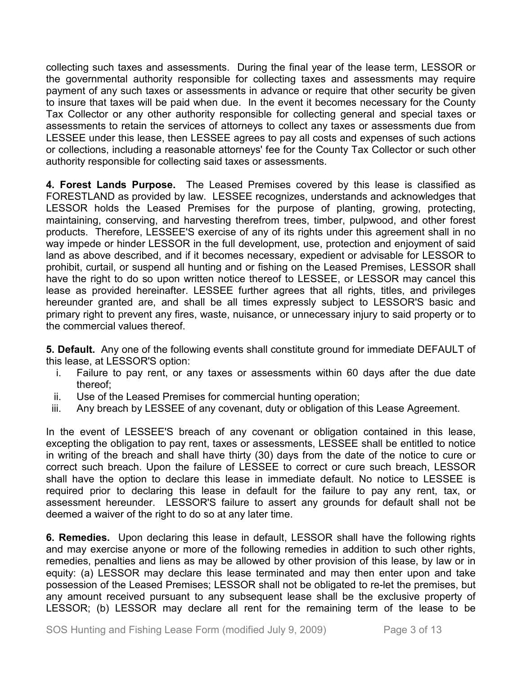collecting such taxes and assessments. During the final year of the lease term, LESSOR or the governmental authority responsible for collecting taxes and assessments may require payment of any such taxes or assessments in advance or require that other security be given to insure that taxes will be paid when due. In the event it becomes necessary for the County Tax Collector or any other authority responsible for collecting general and special taxes or assessments to retain the services of attorneys to collect any taxes or assessments due from LESSEE under this lease, then LESSEE agrees to pay all costs and expenses of such actions or collections, including a reasonable attorneys' fee for the County Tax Collector or such other authority responsible for collecting said taxes or assessments.

**4. Forest Lands Purpose.** The Leased Premises covered by this lease is classified as FORESTLAND as provided by law. LESSEE recognizes, understands and acknowledges that LESSOR holds the Leased Premises for the purpose of planting, growing, protecting, maintaining, conserving, and harvesting therefrom trees, timber, pulpwood, and other forest products. Therefore, LESSEE'S exercise of any of its rights under this agreement shall in no way impede or hinder LESSOR in the full development, use, protection and enjoyment of said land as above described, and if it becomes necessary, expedient or advisable for LESSOR to prohibit, curtail, or suspend all hunting and or fishing on the Leased Premises, LESSOR shall have the right to do so upon written notice thereof to LESSEE, or LESSOR may cancel this lease as provided hereinafter. LESSEE further agrees that all rights, titles, and privileges hereunder granted are, and shall be all times expressly subject to LESSOR'S basic and primary right to prevent any fires, waste, nuisance, or unnecessary injury to said property or to the commercial values thereof.

**5. Default.** Any one of the following events shall constitute ground for immediate DEFAULT of this lease, at LESSOR'S option:

- i. Failure to pay rent, or any taxes or assessments within 60 days after the due date thereof;
- ii. Use of the Leased Premises for commercial hunting operation;
- iii. Any breach by LESSEE of any covenant, duty or obligation of this Lease Agreement.

In the event of LESSEE'S breach of any covenant or obligation contained in this lease, excepting the obligation to pay rent, taxes or assessments, LESSEE shall be entitled to notice in writing of the breach and shall have thirty (30) days from the date of the notice to cure or correct such breach. Upon the failure of LESSEE to correct or cure such breach, LESSOR shall have the option to declare this lease in immediate default. No notice to LESSEE is required prior to declaring this lease in default for the failure to pay any rent, tax, or assessment hereunder. LESSOR'S failure to assert any grounds for default shall not be deemed a waiver of the right to do so at any later time.

**6. Remedies.** Upon declaring this lease in default, LESSOR shall have the following rights and may exercise anyone or more of the following remedies in addition to such other rights, remedies, penalties and liens as may be allowed by other provision of this lease, by law or in equity: (a) LESSOR may declare this lease terminated and may then enter upon and take possession of the Leased Premises; LESSOR shall not be obligated to re-let the premises, but any amount received pursuant to any subsequent lease shall be the exclusive property of LESSOR; (b) LESSOR may declare all rent for the remaining term of the lease to be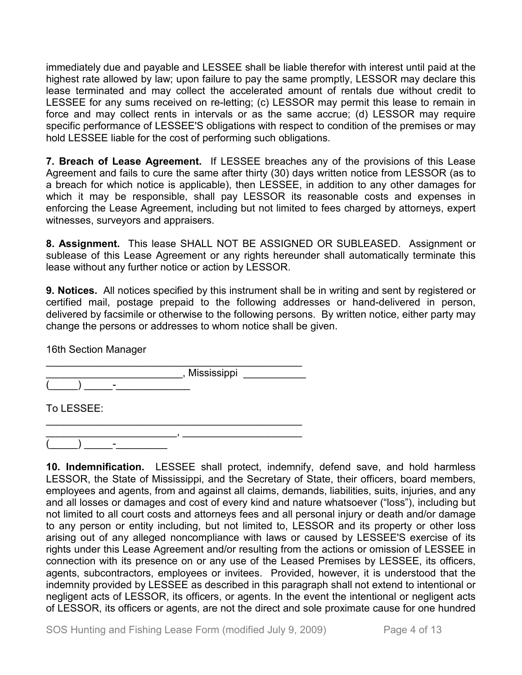immediately due and payable and LESSEE shall be liable therefor with interest until paid at the highest rate allowed by law; upon failure to pay the same promptly, LESSOR may declare this lease terminated and may collect the accelerated amount of rentals due without credit to LESSEE for any sums received on re-letting; (c) LESSOR may permit this lease to remain in force and may collect rents in intervals or as the same accrue; (d) LESSOR may require specific performance of LESSEE'S obligations with respect to condition of the premises or may hold LESSEE liable for the cost of performing such obligations.

**7. Breach of Lease Agreement.** If LESSEE breaches any of the provisions of this Lease Agreement and fails to cure the same after thirty (30) days written notice from LESSOR (as to a breach for which notice is applicable), then LESSEE, in addition to any other damages for which it may be responsible, shall pay LESSOR its reasonable costs and expenses in enforcing the Lease Agreement, including but not limited to fees charged by attorneys, expert witnesses, surveyors and appraisers.

**8. Assignment.** This lease SHALL NOT BE ASSIGNED OR SUBLEASED. Assignment or sublease of this Lease Agreement or any rights hereunder shall automatically terminate this lease without any further notice or action by LESSOR.

**9. Notices.** All notices specified by this instrument shall be in writing and sent by registered or certified mail, postage prepaid to the following addresses or hand-delivered in person, delivered by facsimile or otherwise to the following persons. By written notice, either party may change the persons or addresses to whom notice shall be given.

16th Section Manager

\_\_\_\_\_\_\_\_\_\_\_\_\_\_\_\_\_\_\_\_\_\_\_\_\_\_\_\_\_\_\_\_\_\_\_\_\_\_\_\_\_\_\_\_\_  $\overline{\phantom{a}}$  , Mississippi  $\overline{\phantom{a}}$  $\qquad \qquad$  )  $\qquad \qquad$  –

\_\_\_\_\_\_\_\_\_\_\_\_\_\_\_\_\_\_\_\_\_\_\_\_\_\_\_\_\_\_\_\_\_\_\_\_\_\_\_\_\_\_\_\_\_

To LESSEE:

\_\_\_\_\_\_\_\_\_\_\_\_\_\_\_\_\_\_\_\_\_\_\_, \_\_\_\_\_\_\_\_\_\_\_\_\_\_\_\_\_\_\_\_\_  $\begin{pmatrix} \begin{pmatrix} 0 & 1 \end{pmatrix} & \begin{pmatrix} 0 & 1 \end{pmatrix} & \begin{pmatrix} 0 & 1 \end{pmatrix} & \begin{pmatrix} 0 & 1 \end{pmatrix} & \begin{pmatrix} 0 & 1 \end{pmatrix} & \begin{pmatrix} 0 & 1 \end{pmatrix} & \begin{pmatrix} 0 & 1 \end{pmatrix} & \begin{pmatrix} 0 & 1 \end{pmatrix} & \begin{pmatrix} 0 & 1 \end{pmatrix} & \begin{pmatrix} 0 & 1 \end{pmatrix} & \begin{pmatrix} 0 & 1 \end{pmatrix} & \begin{pmatrix} 0 & 1 \end{pmatrix$ 

**10. Indemnification.** LESSEE shall protect, indemnify, defend save, and hold harmless LESSOR, the State of Mississippi, and the Secretary of State, their officers, board members, employees and agents, from and against all claims, demands, liabilities, suits, injuries, and any and all losses or damages and cost of every kind and nature whatsoever ("loss"), including but not limited to all court costs and attorneys fees and all personal injury or death and/or damage to any person or entity including, but not limited to, LESSOR and its property or other loss arising out of any alleged noncompliance with laws or caused by LESSEE'S exercise of its rights under this Lease Agreement and/or resulting from the actions or omission of LESSEE in connection with its presence on or any use of the Leased Premises by LESSEE, its officers, agents, subcontractors, employees or invitees. Provided, however, it is understood that the indemnity provided by LESSEE as described in this paragraph shall not extend to intentional or negligent acts of LESSOR, its officers, or agents. In the event the intentional or negligent acts of LESSOR, its officers or agents, are not the direct and sole proximate cause for one hundred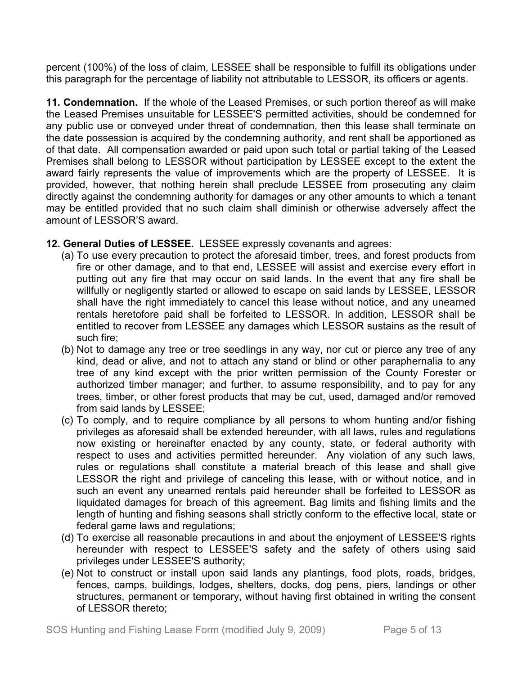percent (100%) of the loss of claim, LESSEE shall be responsible to fulfill its obligations under this paragraph for the percentage of liability not attributable to LESSOR, its officers or agents.

**11. Condemnation.** If the whole of the Leased Premises, or such portion thereof as will make the Leased Premises unsuitable for LESSEE'S permitted activities, should be condemned for any public use or conveyed under threat of condemnation, then this lease shall terminate on the date possession is acquired by the condemning authority, and rent shall be apportioned as of that date. All compensation awarded or paid upon such total or partial taking of the Leased Premises shall belong to LESSOR without participation by LESSEE except to the extent the award fairly represents the value of improvements which are the property of LESSEE. It is provided, however, that nothing herein shall preclude LESSEE from prosecuting any claim directly against the condemning authority for damages or any other amounts to which a tenant may be entitled provided that no such claim shall diminish or otherwise adversely affect the amount of LESSOR'S award.

## **12. General Duties of LESSEE.** LESSEE expressly covenants and agrees:

- (a) To use every precaution to protect the aforesaid timber, trees, and forest products from fire or other damage, and to that end, LESSEE will assist and exercise every effort in putting out any fire that may occur on said lands. In the event that any fire shall be willfully or negligently started or allowed to escape on said lands by LESSEE, LESSOR shall have the right immediately to cancel this lease without notice, and any unearned rentals heretofore paid shall be forfeited to LESSOR. In addition, LESSOR shall be entitled to recover from LESSEE any damages which LESSOR sustains as the result of such fire;
- (b) Not to damage any tree or tree seedlings in any way, nor cut or pierce any tree of any kind, dead or alive, and not to attach any stand or blind or other paraphernalia to any tree of any kind except with the prior written permission of the County Forester or authorized timber manager; and further, to assume responsibility, and to pay for any trees, timber, or other forest products that may be cut, used, damaged and/or removed from said lands by LESSEE;
- (c) To comply, and to require compliance by all persons to whom hunting and/or fishing privileges as aforesaid shall be extended hereunder, with all laws, rules and regulations now existing or hereinafter enacted by any county, state, or federal authority with respect to uses and activities permitted hereunder. Any violation of any such laws, rules or regulations shall constitute a material breach of this lease and shall give LESSOR the right and privilege of canceling this lease, with or without notice, and in such an event any unearned rentals paid hereunder shall be forfeited to LESSOR as liquidated damages for breach of this agreement. Bag limits and fishing limits and the length of hunting and fishing seasons shall strictly conform to the effective local, state or federal game laws and regulations;
- (d) To exercise all reasonable precautions in and about the enjoyment of LESSEE'S rights hereunder with respect to LESSEE'S safety and the safety of others using said privileges under LESSEE'S authority;
- (e) Not to construct or install upon said lands any plantings, food plots, roads, bridges, fences, camps, buildings, lodges, shelters, docks, dog pens, piers, landings or other structures, permanent or temporary, without having first obtained in writing the consent of LESSOR thereto;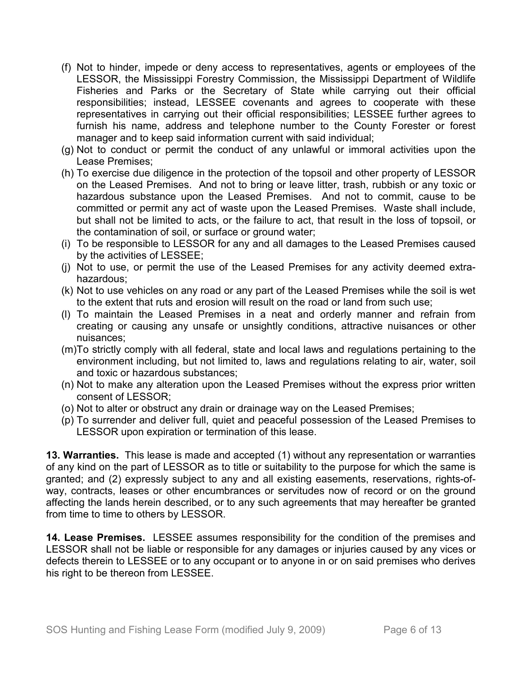- (f) Not to hinder, impede or deny access to representatives, agents or employees of the LESSOR, the Mississippi Forestry Commission, the Mississippi Department of Wildlife Fisheries and Parks or the Secretary of State while carrying out their official responsibilities; instead, LESSEE covenants and agrees to cooperate with these representatives in carrying out their official responsibilities; LESSEE further agrees to furnish his name, address and telephone number to the County Forester or forest manager and to keep said information current with said individual;
- (g) Not to conduct or permit the conduct of any unlawful or immoral activities upon the Lease Premises;
- (h) To exercise due diligence in the protection of the topsoil and other property of LESSOR on the Leased Premises. And not to bring or leave litter, trash, rubbish or any toxic or hazardous substance upon the Leased Premises. And not to commit, cause to be committed or permit any act of waste upon the Leased Premises. Waste shall include, but shall not be limited to acts, or the failure to act, that result in the loss of topsoil, or the contamination of soil, or surface or ground water;
- (i) To be responsible to LESSOR for any and all damages to the Leased Premises caused by the activities of LESSEE;
- (j) Not to use, or permit the use of the Leased Premises for any activity deemed extrahazardous;
- (k) Not to use vehicles on any road or any part of the Leased Premises while the soil is wet to the extent that ruts and erosion will result on the road or land from such use;
- (l) To maintain the Leased Premises in a neat and orderly manner and refrain from creating or causing any unsafe or unsightly conditions, attractive nuisances or other nuisances;
- (m)To strictly comply with all federal, state and local laws and regulations pertaining to the environment including, but not limited to, laws and regulations relating to air, water, soil and toxic or hazardous substances;
- (n) Not to make any alteration upon the Leased Premises without the express prior written consent of LESSOR;
- (o) Not to alter or obstruct any drain or drainage way on the Leased Premises;
- (p) To surrender and deliver full, quiet and peaceful possession of the Leased Premises to LESSOR upon expiration or termination of this lease.

**13. Warranties.** This lease is made and accepted (1) without any representation or warranties of any kind on the part of LESSOR as to title or suitability to the purpose for which the same is granted; and (2) expressly subject to any and all existing easements, reservations, rights-ofway, contracts, leases or other encumbrances or servitudes now of record or on the ground affecting the lands herein described, or to any such agreements that may hereafter be granted from time to time to others by LESSOR.

**14. Lease Premises.** LESSEE assumes responsibility for the condition of the premises and LESSOR shall not be liable or responsible for any damages or injuries caused by any vices or defects therein to LESSEE or to any occupant or to anyone in or on said premises who derives his right to be thereon from LESSEE.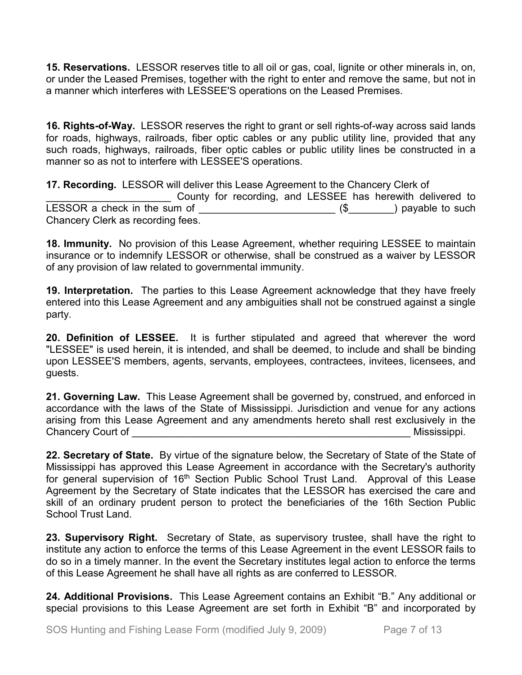**15. Reservations.** LESSOR reserves title to all oil or gas, coal, lignite or other minerals in, on, or under the Leased Premises, together with the right to enter and remove the same, but not in a manner which interferes with LESSEE'S operations on the Leased Premises.

**16. Rights-of-Way.** LESSOR reserves the right to grant or sell rights-of-way across said lands for roads, highways, railroads, fiber optic cables or any public utility line, provided that any such roads, highways, railroads, fiber optic cables or public utility lines be constructed in a manner so as not to interfere with LESSEE'S operations.

**17. Recording.** LESSOR will deliver this Lease Agreement to the Chancery Clerk of County for recording, and LESSEE has herewith delivered to LESSOR a check in the sum of \_\_\_\_\_\_\_\_\_\_\_\_\_\_\_\_\_\_\_\_\_\_\_\_ (\$\_\_\_\_\_\_\_\_) payable to such Chancery Clerk as recording fees.

**18. Immunity.** No provision of this Lease Agreement, whether requiring LESSEE to maintain insurance or to indemnify LESSOR or otherwise, shall be construed as a waiver by LESSOR of any provision of law related to governmental immunity.

**19. Interpretation.** The parties to this Lease Agreement acknowledge that they have freely entered into this Lease Agreement and any ambiguities shall not be construed against a single party.

**20. Definition of LESSEE.** It is further stipulated and agreed that wherever the word "LESSEE" is used herein, it is intended, and shall be deemed, to include and shall be binding upon LESSEE'S members, agents, servants, employees, contractees, invitees, licensees, and guests.

**21. Governing Law.** This Lease Agreement shall be governed by, construed, and enforced in accordance with the laws of the State of Mississippi. Jurisdiction and venue for any actions arising from this Lease Agreement and any amendments hereto shall rest exclusively in the Chancery Court of \_\_\_\_\_\_\_\_\_\_\_\_\_\_\_\_\_\_\_\_\_\_\_\_\_\_\_\_\_\_\_\_\_\_\_\_\_\_\_\_\_\_\_\_\_\_\_\_\_ Mississippi.

**22. Secretary of State.** By virtue of the signature below, the Secretary of State of the State of Mississippi has approved this Lease Agreement in accordance with the Secretary's authority for general supervision of 16<sup>th</sup> Section Public School Trust Land. Approval of this Lease Agreement by the Secretary of State indicates that the LESSOR has exercised the care and skill of an ordinary prudent person to protect the beneficiaries of the 16th Section Public School Trust Land.

**23. Supervisory Right.** Secretary of State, as supervisory trustee, shall have the right to institute any action to enforce the terms of this Lease Agreement in the event LESSOR fails to do so in a timely manner. In the event the Secretary institutes legal action to enforce the terms of this Lease Agreement he shall have all rights as are conferred to LESSOR.

**24. Additional Provisions.** This Lease Agreement contains an Exhibit "B." Any additional or special provisions to this Lease Agreement are set forth in Exhibit "B" and incorporated by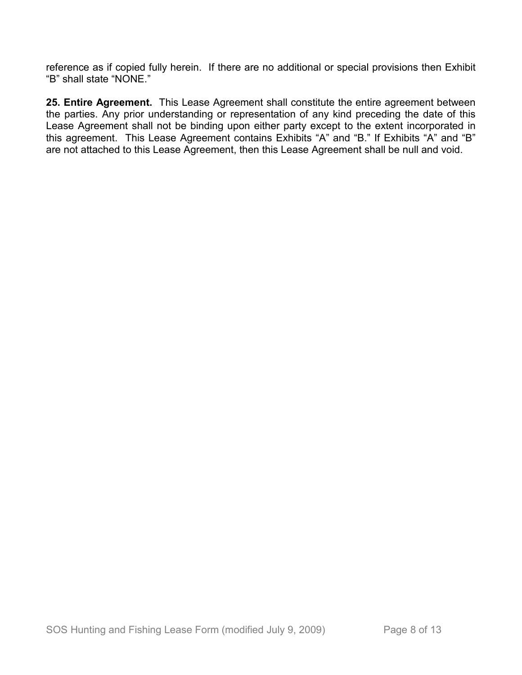reference as if copied fully herein. If there are no additional or special provisions then Exhibit "B" shall state "NONE."

**25. Entire Agreement.** This Lease Agreement shall constitute the entire agreement between the parties. Any prior understanding or representation of any kind preceding the date of this Lease Agreement shall not be binding upon either party except to the extent incorporated in this agreement. This Lease Agreement contains Exhibits "A" and "B." If Exhibits "A" and "B" are not attached to this Lease Agreement, then this Lease Agreement shall be null and void.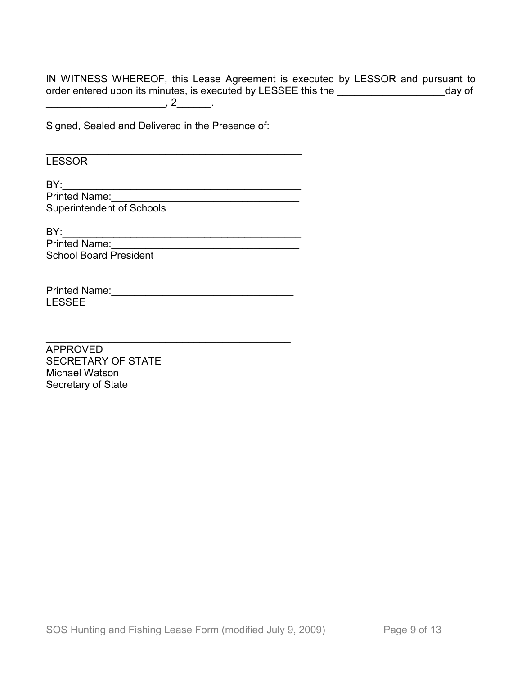IN WITNESS WHEREOF, this Lease Agreement is executed by LESSOR and pursuant to order entered upon its minutes, is executed by LESSEE this the \_\_\_\_\_\_\_\_\_\_\_\_\_\_\_\_\_\_\_\_\_\_\_\_day of  $\frac{1}{2}$ , 2 $\frac{2}{2}$ 

Signed, Sealed and Delivered in the Presence of:

**LESSOR** 

BY:\_\_\_\_\_\_\_\_\_\_\_\_\_\_\_\_\_\_\_\_\_\_\_\_\_\_\_\_\_\_\_\_\_\_\_\_\_\_\_\_\_\_ Printed Name:\_\_\_\_\_\_\_\_\_\_\_\_\_\_\_\_\_\_\_\_\_\_\_\_\_\_\_\_\_\_\_\_\_ Superintendent of Schools

\_\_\_\_\_\_\_\_\_\_\_\_\_\_\_\_\_\_\_\_\_\_\_\_\_\_\_\_\_\_\_\_\_\_\_\_\_\_\_\_\_\_\_\_

\_\_\_\_\_\_\_\_\_\_\_\_\_\_\_\_\_\_\_\_\_\_\_\_\_\_\_\_\_\_\_\_\_\_\_\_\_\_\_\_\_\_\_

\_\_\_\_\_\_\_\_\_\_\_\_\_\_\_\_\_\_\_\_\_\_\_\_\_\_\_\_\_\_\_\_\_\_\_\_\_\_\_\_\_\_\_\_\_

BY:\_\_\_\_\_\_\_\_\_\_\_\_\_\_\_\_\_\_\_\_\_\_\_\_\_\_\_\_\_\_\_\_\_\_\_\_\_\_\_\_\_\_

Printed Name:\_\_\_\_\_\_\_\_\_\_\_\_\_\_\_\_\_\_\_\_\_\_\_\_\_\_\_\_\_\_\_\_\_ School Board President

Printed Name:\_\_\_\_\_\_\_\_\_\_\_\_\_\_\_\_\_\_\_\_\_\_\_\_\_\_\_\_\_\_\_\_ LESSEE

APPROVED SECRETARY OF STATE Michael Watson Secretary of State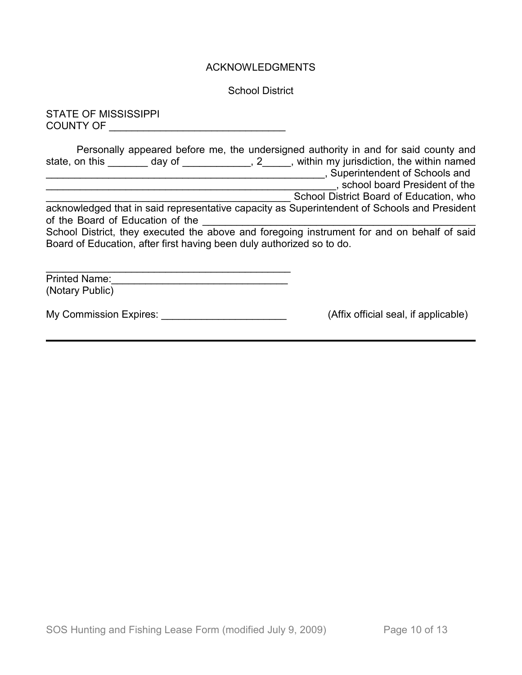## ACKNOWLEDGMENTS

School District

STATE OF MISSISSIPPI COUNTY OF \_\_\_\_\_\_\_\_\_\_\_\_\_\_\_\_\_\_\_\_\_\_\_\_\_\_\_\_\_\_\_

| Personally appeared before me, the undersigned authority in and for said county and<br>day of<br>state, on this                                                      | , 2 , within my jurisdiction, the within named<br>, Superintendent of Schools and |
|----------------------------------------------------------------------------------------------------------------------------------------------------------------------|-----------------------------------------------------------------------------------|
|                                                                                                                                                                      | , school board President of the                                                   |
|                                                                                                                                                                      | School District Board of Education, who                                           |
| acknowledged that in said representative capacity as Superintendent of Schools and President<br>of the Board of Education of the                                     |                                                                                   |
| School District, they executed the above and foregoing instrument for and on behalf of said<br>Board of Education, after first having been duly authorized so to do. |                                                                                   |
| <b>Printed Name:</b><br>(Notary Public)                                                                                                                              |                                                                                   |

My Commission Expires: \_\_\_\_\_\_\_\_\_\_\_\_\_\_\_\_\_\_\_\_\_\_\_\_\_\_\_\_\_\_\_\_(Affix official seal, if applicable)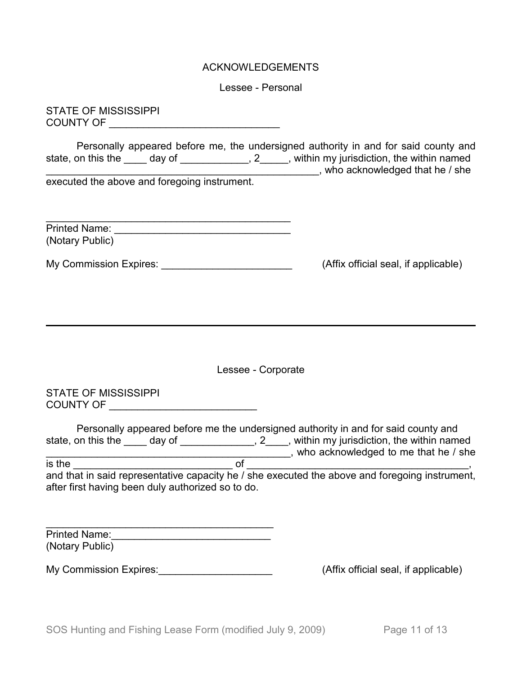#### ACKNOWLEDGEMENTS

Lessee - Personal

STATE OF MISSISSIPPI COUNTY OF \_\_\_\_\_\_\_\_\_\_\_\_\_\_\_\_\_\_\_\_\_\_\_\_\_\_\_\_\_\_

Personally appeared before me, the undersigned authority in and for said county and state, on this the \_\_\_\_ day of \_\_\_\_\_\_\_\_\_\_\_, 2\_\_\_\_, within my jurisdiction, the within named \_\_\_\_\_\_\_\_\_\_\_\_\_\_\_\_\_\_\_\_, who acknowledged that he / she executed the above and foregoing instrument.

| <b>Printed Name:</b> |  |
|----------------------|--|
| (Notary Public)      |  |

My Commission Expires: \_\_\_\_\_\_\_\_\_\_\_\_\_\_\_\_\_\_\_\_\_\_\_\_\_\_\_\_\_\_\_(Affix official seal, if applicable)

Lessee - Corporate

STATE OF MISSISSIPPI COUNTY OF \_\_\_\_\_\_\_\_\_\_\_\_\_\_\_\_\_\_\_\_\_\_\_\_\_\_

|                    |                                                   | Personally appeared before me the undersigned authority in and for said county and             |
|--------------------|---------------------------------------------------|------------------------------------------------------------------------------------------------|
| state, on this the | day of                                            | within my jurisdiction, the within named                                                       |
|                    |                                                   | who acknowledged to me that he / she                                                           |
| is the             | റ്                                                |                                                                                                |
|                    |                                                   | and that in said representative capacity he / she executed the above and foregoing instrument, |
|                    | after first having been duly authorized so to do. |                                                                                                |

| <b>Printed Name:</b> |  |
|----------------------|--|
| (Notary Public)      |  |

My Commission Expires: example and the settlem of the seal, if applicable)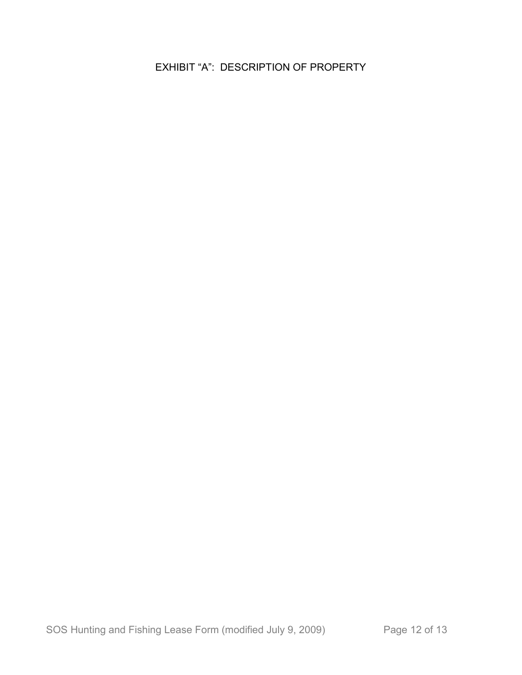EXHIBIT "A": DESCRIPTION OF PROPERTY